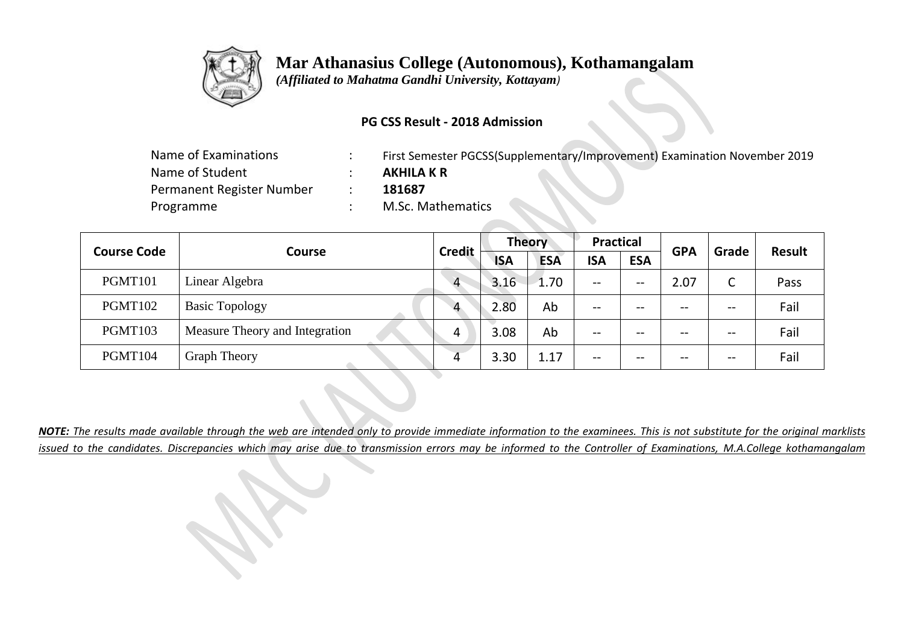

 *(Affiliated to Mahatma Gandhi University, Kottayam)*

### **PG CSS Result - 2018 Admission**

| Name of Examinations      | First Semester PGCSS(Supplementary/Improvement) Examination November 2019 |
|---------------------------|---------------------------------------------------------------------------|
| Name of Student           | <b>AKHILA K R</b>                                                         |
| Permanent Register Number | 181687                                                                    |
| Programme                 | M.Sc. Mathematics                                                         |

| <b>Course Code</b> |                                | <b>Credit</b>  | <b>Theory</b> |            | <b>Practical</b> |            | <b>GPA</b> | Grade | <b>Result</b> |  |
|--------------------|--------------------------------|----------------|---------------|------------|------------------|------------|------------|-------|---------------|--|
|                    | <b>Course</b>                  |                | <b>ISA</b>    | <b>ESA</b> | <b>ISA</b>       | <b>ESA</b> |            |       |               |  |
| PGMT101            | Linear Algebra                 | $\overline{4}$ | 3.16          | 1.70       | --               | --         | 2.07       | C     | Pass          |  |
| PGMT102            | <b>Basic Topology</b>          | $\Lambda$      | 2.80          | Ab         | $- -$            | --         | $- -$      | $- -$ | Fail          |  |
| PGMT103            | Measure Theory and Integration | 4              | 3.08          | Ab         | --               | --         | $- -$      | $- -$ | Fail          |  |
| PGMT104            | <b>Graph Theory</b>            |                | 3.30          | 1.17       | $- -$            | --         | $- -$      | $- -$ | Fail          |  |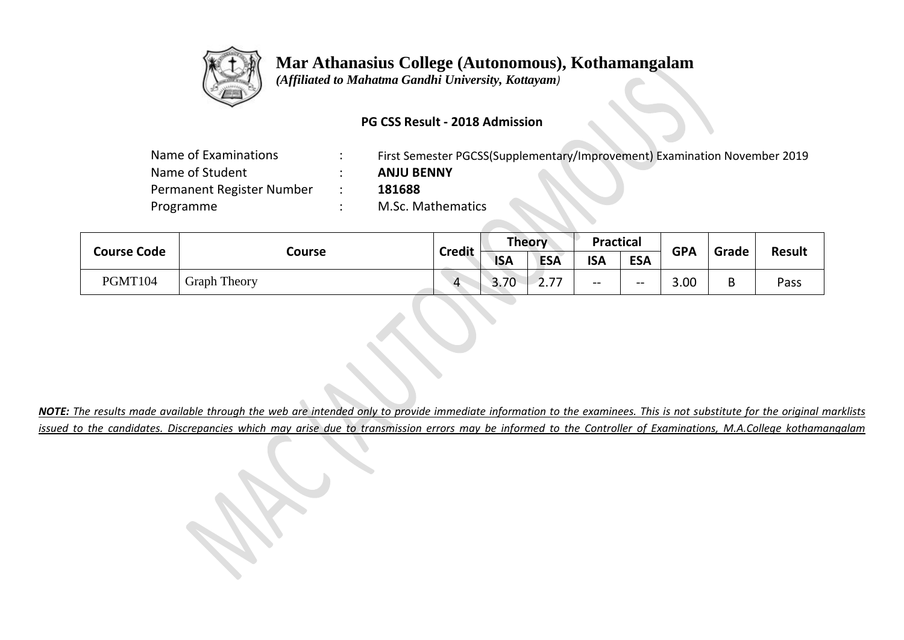

 *(Affiliated to Mahatma Gandhi University, Kottayam)*

### **PG CSS Result - 2018 Admission**

| Name of Examinations      | First Semester PGCSS(Supplementary/Improvement) Examination November 2019 |
|---------------------------|---------------------------------------------------------------------------|
| Name of Student           | <b>ANJU BENNY</b>                                                         |
| Permanent Register Number | 181688                                                                    |
| Programme                 | M.Sc. Mathematics                                                         |
|                           |                                                                           |

|  | <b>Course Code</b> |                     | <b>Credit</b>           | <b>Theory</b> |                       | <b>Practical</b> |            | <b>GPA</b> | Grade | <b>Result</b> |
|--|--------------------|---------------------|-------------------------|---------------|-----------------------|------------------|------------|------------|-------|---------------|
|  |                    | Course              |                         | <b>ISA</b>    | <b>ESA</b>            | <b>ISA</b>       | <b>ESA</b> |            |       |               |
|  | PGMT104            | <b>Graph Theory</b> | $\overline{\mathbf{A}}$ | 3.70          | 77<br>$\mathcal{L}$ . | --               | $- -$      | 3.00       | B     | Pass          |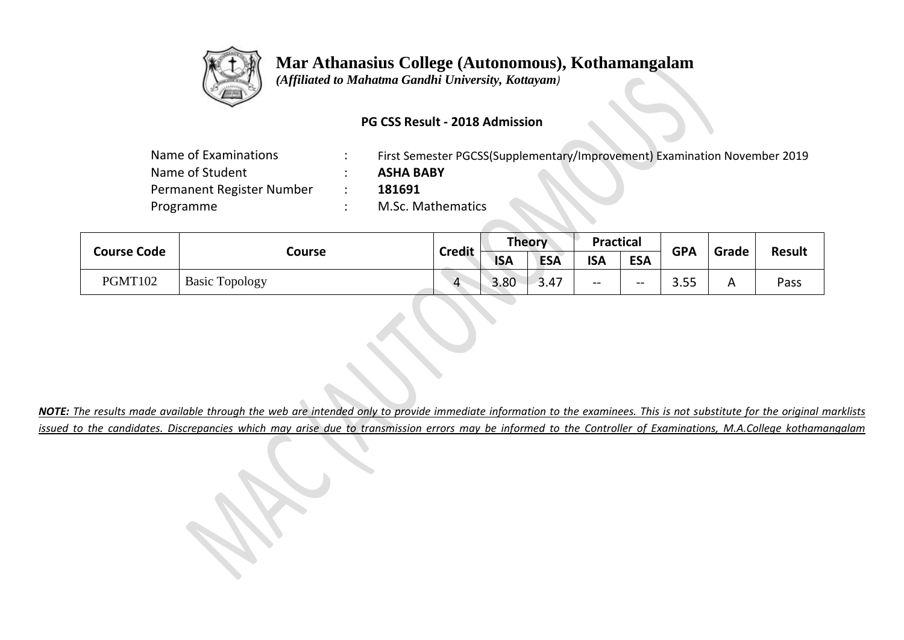

 *(Affiliated to Mahatma Gandhi University, Kottayam)*

### **PG CSS Result - 2018 Admission**

| Name of Examinations      | First Semester PGCSS(Supplementary/Improvement) Examination November 2019 |
|---------------------------|---------------------------------------------------------------------------|
| Name of Student           | <b>ASHA BABY</b>                                                          |
| Permanent Register Number | 181691                                                                    |
| Programme                 | M.Sc. Mathematics                                                         |
|                           |                                                                           |

|  | <b>Course Code</b> |                       | <b>Credit</b> | Theory     |            | <b>Practical</b> |            | <b>GPA</b>  | Grade | <b>Result</b> |
|--|--------------------|-----------------------|---------------|------------|------------|------------------|------------|-------------|-------|---------------|
|  |                    | Course                |               | <b>ISA</b> | <b>ESA</b> | <b>ISA</b>       | <b>ESA</b> |             |       |               |
|  | PGMT102            | <b>Basic Topology</b> | $\Delta$      | 3.80       | 3.47       | $- -$            | $- -$      | 2.5<br>ວ.ວວ | Α     | Pass          |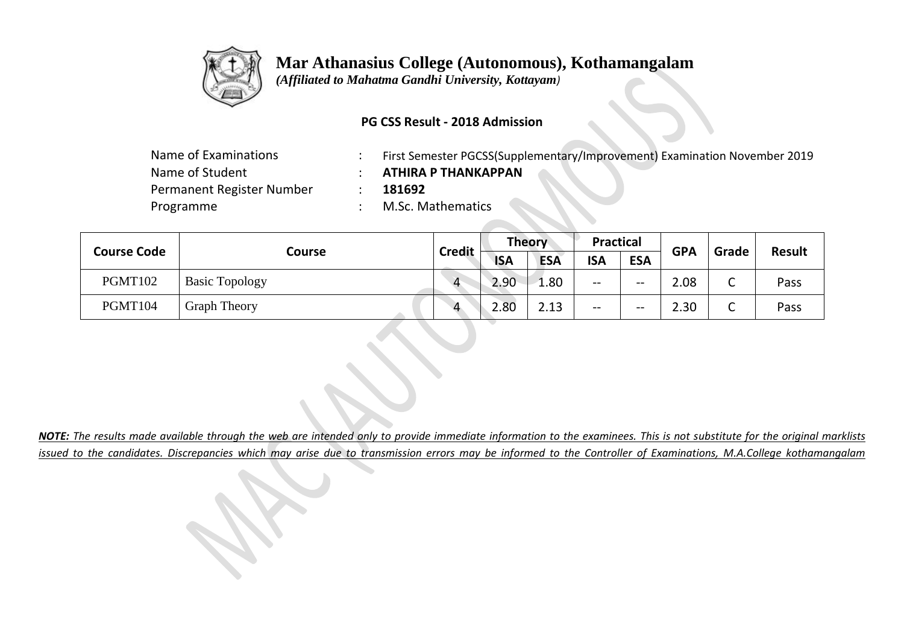

 *(Affiliated to Mahatma Gandhi University, Kottayam)*

#### **PG CSS Result - 2018 Admission**

| Name of Examinations      |  |
|---------------------------|--|
| Name of Student           |  |
| Permanent Register Number |  |
| Programme                 |  |

- First Semester PGCSS(Supplementary/Improvement) Examination November 2019
- Name of Student : **ATHIRA P THANKAPPAN**
- $: 181692$

: M.Sc. Mathematics

| <b>Course Code</b> |                       | <b>Credit</b>  | <b>Theory</b> |            | <b>Practical</b> |                                                     | <b>GPA</b> |        | <b>Result</b> |
|--------------------|-----------------------|----------------|---------------|------------|------------------|-----------------------------------------------------|------------|--------|---------------|
|                    | Course                |                | <b>ISA</b>    | <b>ESA</b> | <b>ISA</b>       | <b>ESA</b>                                          |            | Grade  |               |
| PGMT102            | <b>Basic Topology</b> | $\overline{4}$ | 2.90          | 1.80       | --               | $\hspace{0.05cm}$ – $\hspace{0.05cm}$               | 2.08       | ∽<br>֊ | Pass          |
| PGMT104            | <b>Graph Theory</b>   | Δ              | 2.80          | 2.13       | --               | $\hspace{0.05cm} -\hspace{0.05cm} -\hspace{0.05cm}$ | 2.30       | ⌒<br>֊ | Pass          |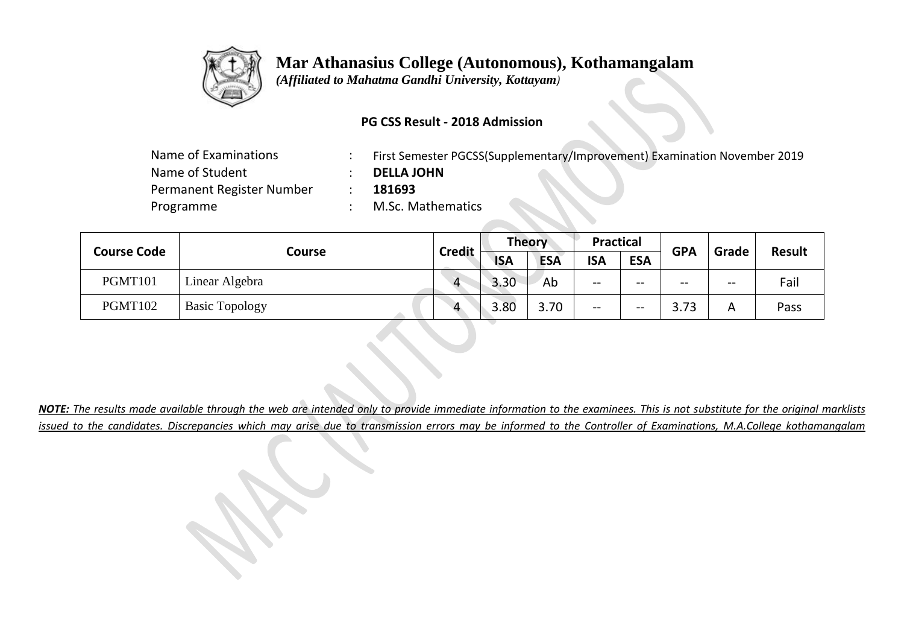

 *(Affiliated to Mahatma Gandhi University, Kottayam)*

### **PG CSS Result - 2018 Admission**

| Name of Examinations      | First Semester PGCSS(Supplementary/Improvement) Examination November 2019 |
|---------------------------|---------------------------------------------------------------------------|
| Name of Student           | <b>DELLA JOHN</b>                                                         |
| Permanent Register Number | 181693                                                                    |
| Programme                 | M.Sc. Mathematics                                                         |

| <b>Course Code</b> |                       | <b>Credit</b>  | <b>Theory</b> |            | <b>Practical</b> |            | <b>GPA</b> | Grade | <b>Result</b> |
|--------------------|-----------------------|----------------|---------------|------------|------------------|------------|------------|-------|---------------|
|                    | Course                |                | <b>ISA</b>    | <b>ESA</b> | <b>ISA</b>       | <b>ESA</b> |            |       |               |
| PGMT101            | Linear Algebra        | $\overline{4}$ | 3.30          | Ab         | --               | $- -$      | $- -$      | $- -$ | Fail          |
| PGMT102            | <b>Basic Topology</b> | Δ              | 3.80          | 3.70       | $- -$            | $- -$      | 3.73       | A     | Pass          |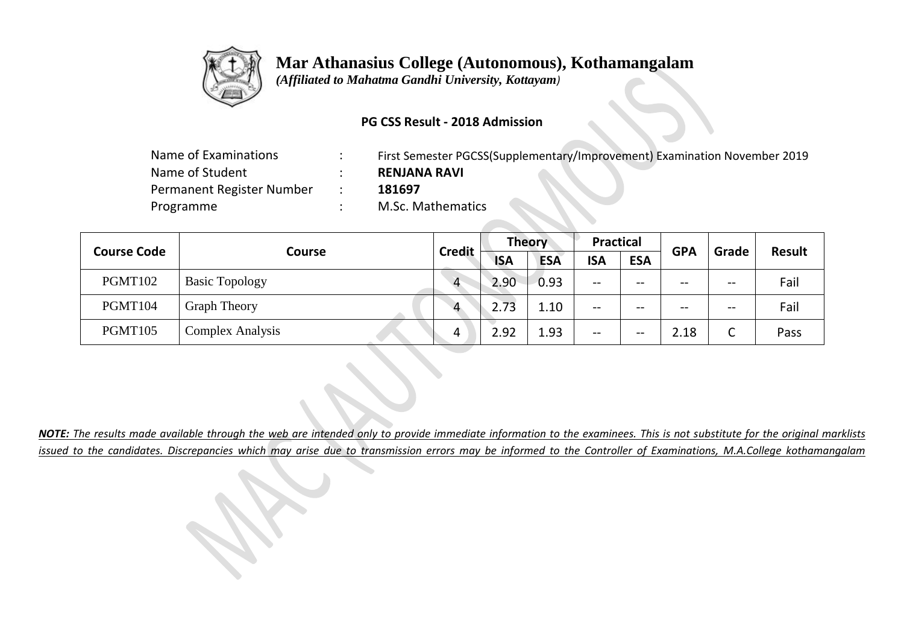

 *(Affiliated to Mahatma Gandhi University, Kottayam)*

### **PG CSS Result - 2018 Admission**

| Name of Examinations      | First Semester PGCSS(Supplementary/Improvement) Examination November 2019 |
|---------------------------|---------------------------------------------------------------------------|
| Name of Student           | <b>RENJANA RAVI</b>                                                       |
| Permanent Register Number | 181697                                                                    |
| Programme                 | M.Sc. Mathematics                                                         |
|                           |                                                                           |

| <b>Course Code</b> |                       |                | <b>Theory</b> |            | <b>Practical</b> |            | <b>GPA</b> | Grade                                 | <b>Result</b> |
|--------------------|-----------------------|----------------|---------------|------------|------------------|------------|------------|---------------------------------------|---------------|
|                    | <b>Course</b>         | <b>Credit</b>  | <b>ISA</b>    | <b>ESA</b> | <b>ISA</b>       | <b>ESA</b> |            |                                       |               |
| PGMT102            | <b>Basic Topology</b> | $\overline{4}$ | 2.90          | 0.93       | --               | --         | $- -$      | $\overline{\phantom{m}}$              | Fail          |
| PGMT104            | <b>Graph Theory</b>   | $\Delta$       | 2.73          | 1.10       | --               | --         | $- -$      | $\hspace{0.05cm}$ – $\hspace{0.05cm}$ | Fail          |
| PGMT105            | Complex Analysis      |                | 2.92          | 1.93       | --               | $- -$      | 2.18       | ⌒<br>֊                                | Pass          |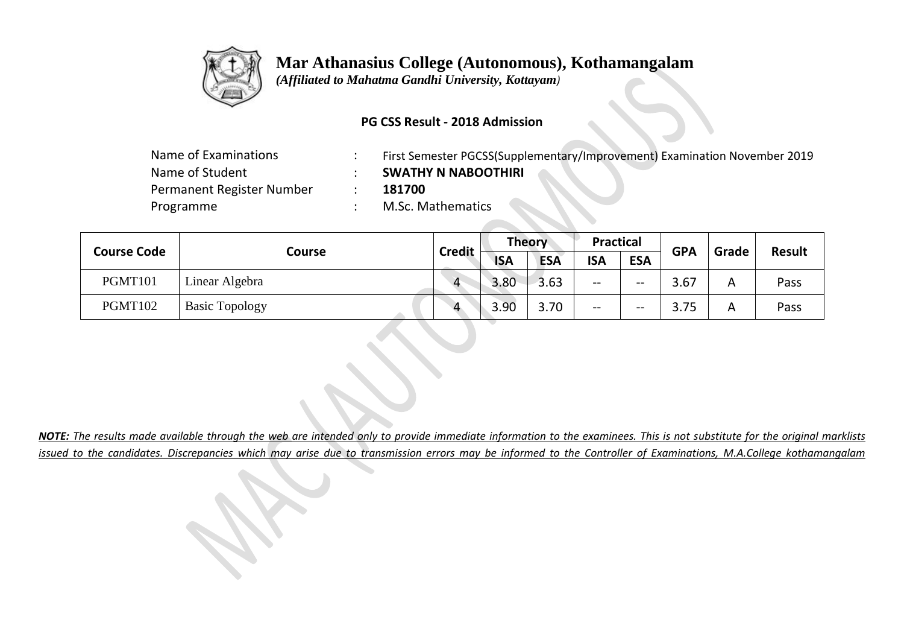

 *(Affiliated to Mahatma Gandhi University, Kottayam)*

### **PG CSS Result - 2018 Admission**

| Name of Examinations      | First Semester PGCSS(Supplementary/Improvement) Examination November 2019 |
|---------------------------|---------------------------------------------------------------------------|
| Name of Student           | <b>SWATHY N NABOOTHIRI</b>                                                |
| Permanent Register Number | 181700                                                                    |
| Programme                 | M.Sc. Mathematics                                                         |

| <b>Course Code</b> | Course                | <b>Credit</b> | <b>Theory</b> |            | <b>Practical</b> |            | <b>GPA</b> | Grade |               |
|--------------------|-----------------------|---------------|---------------|------------|------------------|------------|------------|-------|---------------|
|                    |                       |               | <b>ISA</b>    | <b>ESA</b> | <b>ISA</b>       | <b>ESA</b> |            |       | <b>Result</b> |
| PGMT101            | Linear Algebra        | $\Delta$      | 3.80          | 3.63       | --               | $- -$      | 3.67       | A     | Pass          |
| PGMT102            | <b>Basic Topology</b> | $\Lambda$     | 3.90          | 3.70       | --               | $- -$      | 3.75       | A     | Pass          |